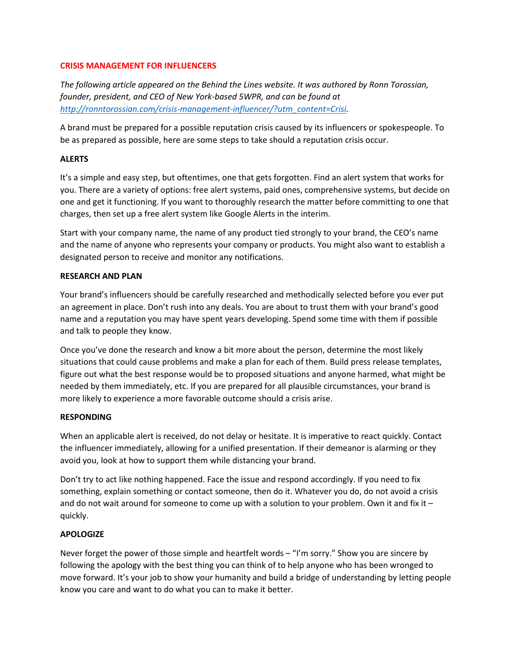## **CRISIS MANAGEMENT FOR INFLUENCERS**

*The following article appeared on the Behind the Lines website. It was authored by Ronn Torossian, founder, president, and CEO of New York-based 5WPR, and can be found at [http://ronntorossian.com/crisis-management-influencer/?utm\\_content=Crisi.](http://ronntorossian.com/crisis-management-influencer/?utm_content=Crisi)*

A brand must be prepared for a possible reputation crisis caused by its influencers or spokespeople. To be as prepared as possible, here are some steps to take should a reputation crisis occur.

# **ALERTS**

It's a simple and easy step, but oftentimes, one that gets forgotten. Find an alert system that works for you. There are a variety of options: free alert systems, paid ones, comprehensive systems, but decide on one and get it functioning. If you want to thoroughly research the matter before committing to one that charges, then set up a free alert system like Google Alerts in the interim.

Start with your company name, the name of any product tied strongly to your brand, the CEO's name and the name of anyone who represents your company or products. You might also want to establish a designated person to receive and monitor any notifications.

### **RESEARCH AND PLAN**

Your brand's influencers should be carefully researched and methodically selected before you ever put an agreement in place. Don't rush into any deals. You are about to trust them with your brand's good name and a reputation you may have spent years developing. Spend some time with them if possible and talk to people they know.

Once you've done the research and know a bit more about the person, determine the most likely situations that could cause problems and make a plan for each of them. Build press release templates, figure out what the best response would be to proposed situations and anyone harmed, what might be needed by them immediately, etc. If you are prepared for all plausible circumstances, your brand is more likely to experience a more favorable outcome should a crisis arise.

#### **RESPONDING**

When an applicable alert is received, do not delay or hesitate. It is imperative to react quickly. Contact the influencer immediately, allowing for a unified presentation. If their demeanor is alarming or they avoid you, look at how to support them while distancing your brand.

Don't try to act like nothing happened. Face the issue and respond accordingly. If you need to fix something, explain something or contact someone, then do it. Whatever you do, do not avoid a crisis and do not wait around for someone to come up with a solution to your problem. Own it and fix it – quickly.

# **APOLOGIZE**

Never forget the power of those simple and heartfelt words – "I'm sorry." Show you are sincere by following the apology with the best thing you can think of to help anyone who has been wronged to move forward. It's your job to show your humanity and build a bridge of understanding by letting people know you care and want to do what you can to make it better.